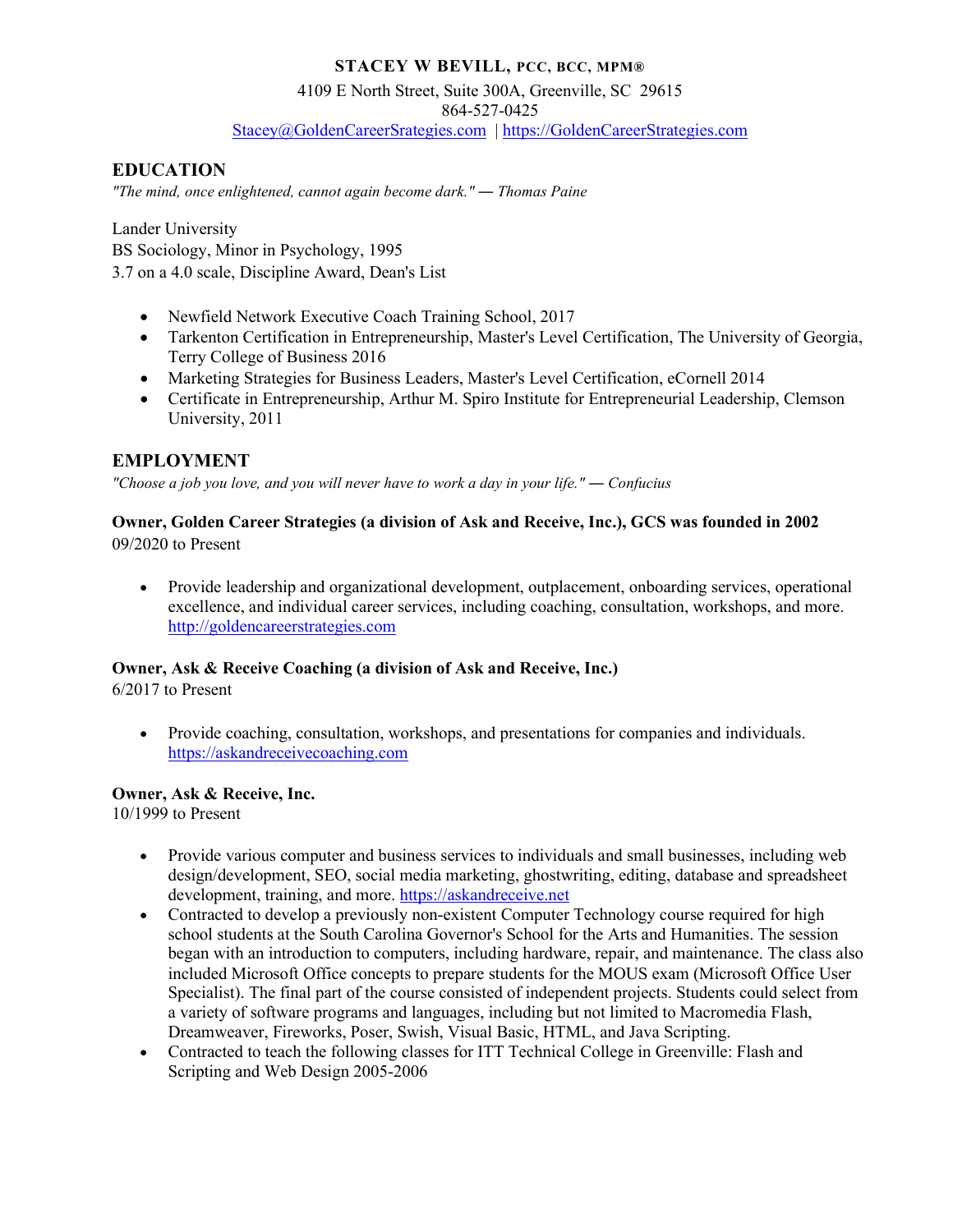#### **STACEY W BEVILL, PCC, BCC, MPM®**

#### 4109 E North Street, Suite 300A, Greenville, SC 29615

864-527-0425

[Stacey@GoldenCareerSrategies.com](mailto:Stacey@GoldenCareerSrategies.com) | [https://GoldenCareerStrategies.com](https://goldencareerstrategies.com/)

# **EDUCATION**

*"The mind, once enlightened, cannot again become dark." ― Thomas Paine*

Lander University BS Sociology, Minor in Psychology, 1995 3.7 on a 4.0 scale, Discipline Award, Dean's List

- Newfield Network Executive Coach Training School, 2017
- Tarkenton Certification in Entrepreneurship, Master's Level Certification, The University of Georgia, Terry College of Business 2016
- Marketing Strategies for Business Leaders, Master's Level Certification, eCornell 2014
- Certificate in Entrepreneurship, Arthur M. Spiro Institute for Entrepreneurial Leadership, Clemson University, 2011

### **EMPLOYMENT**

*"Choose a job you love, and you will never have to work a day in your life." ― Confucius*

#### **Owner, Golden Career Strategies (a division of Ask and Receive, Inc.), GCS was founded in 2002** 09/2020 to Present

• Provide leadership and organizational development, outplacement, onboarding services, operational excellence, and individual career services, including coaching, consultation, workshops, and more. [http://goldencareerstrategies.com](http://goldencareerstrategies.com/)

### **Owner, Ask & Receive Coaching (a division of Ask and Receive, Inc.)**

6/2017 to Present

• Provide coaching, consultation, workshops, and presentations for companies and individuals. [https://askandreceivecoaching.com](https://askandreceivecoaching.com/) 

### **Owner, Ask & Receive, Inc.**

10/1999 to Present

- Provide various computer and business services to individuals and small businesses, including web design/development, SEO, social media marketing, ghostwriting, editing, database and spreadsheet development, training, and more. [https://askandreceive.net](https://askandreceive.net/)
- Contracted to develop a previously non-existent Computer Technology course required for high school students at the South Carolina Governor's School for the Arts and Humanities. The session began with an introduction to computers, including hardware, repair, and maintenance. The class also included Microsoft Office concepts to prepare students for the MOUS exam (Microsoft Office User Specialist). The final part of the course consisted of independent projects. Students could select from a variety of software programs and languages, including but not limited to Macromedia Flash, Dreamweaver, Fireworks, Poser, Swish, Visual Basic, HTML, and Java Scripting.
- Contracted to teach the following classes for ITT Technical College in Greenville: Flash and Scripting and Web Design 2005-2006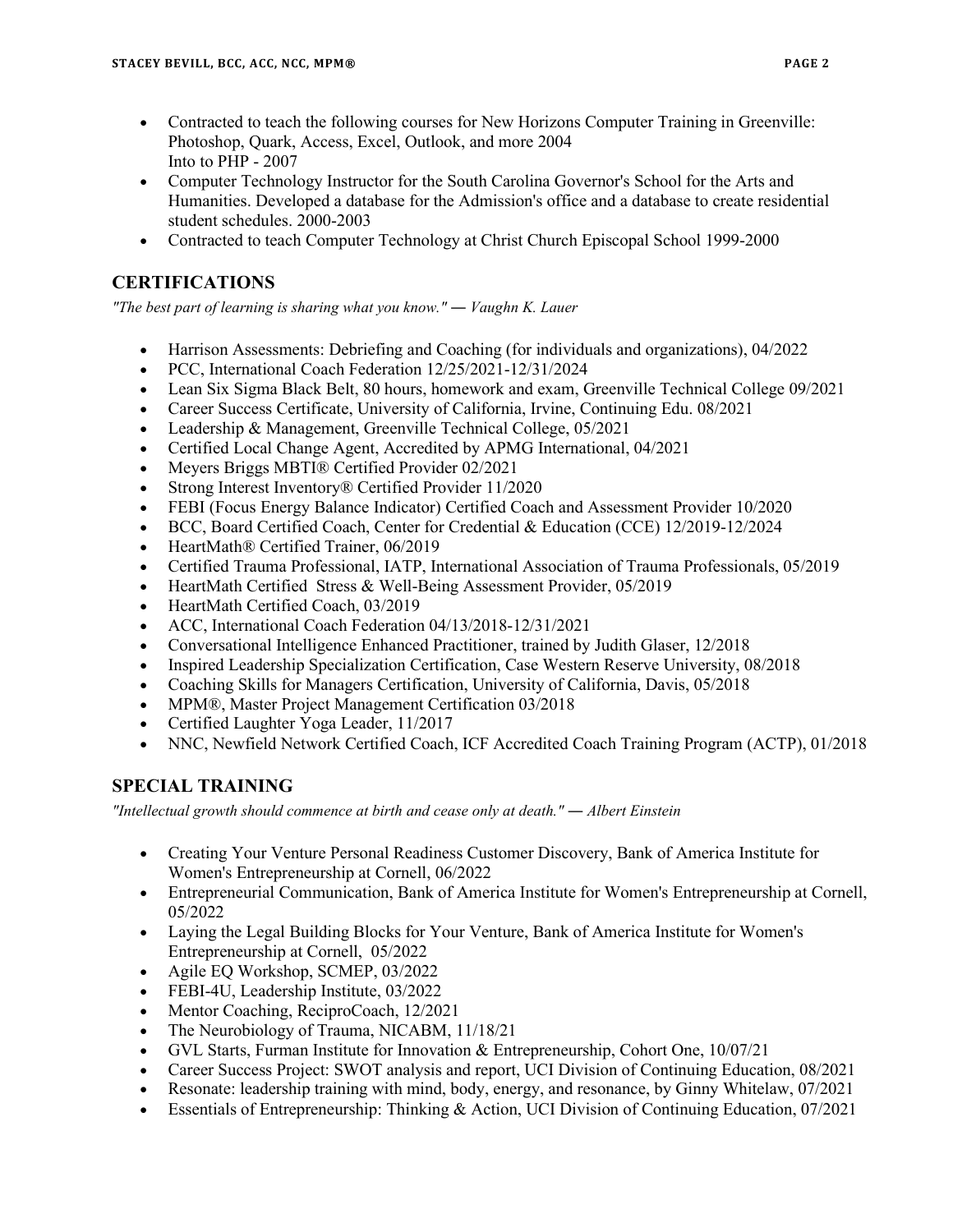- Contracted to teach the following courses for New Horizons Computer Training in Greenville: Photoshop, Quark, Access, Excel, Outlook, and more 2004 Into to PHP - 2007
- Computer Technology Instructor for the South Carolina Governor's School for the Arts and Humanities. Developed a database for the Admission's office and a database to create residential student schedules. 2000-2003
- Contracted to teach Computer Technology at Christ Church Episcopal School 1999-2000

# **CERTIFICATIONS**

*"The best part of learning is sharing what you know." ― Vaughn K. Lauer*

- Harrison Assessments: Debriefing and Coaching (for individuals and organizations), 04/2022
- PCC, International Coach Federation 12/25/2021-12/31/2024
- Lean Six Sigma Black Belt, 80 hours, homework and exam, Greenville Technical College 09/2021
- Career Success Certificate, University of California, Irvine, Continuing Edu. 08/2021
- Leadership & Management, Greenville Technical College, 05/2021
- Certified Local Change Agent, Accredited by APMG International, 04/2021
- Meyers Briggs MBTI® Certified Provider 02/2021
- Strong Interest Inventory® Certified Provider 11/2020
- FEBI (Focus Energy Balance Indicator) Certified Coach and Assessment Provider 10/2020
- BCC, Board Certified Coach, Center for Credential & Education (CCE) 12/2019-12/2024
- HeartMath® Certified Trainer, 06/2019
- Certified Trauma Professional, IATP, International Association of Trauma Professionals, 05/2019
- HeartMath Certified Stress & Well-Being Assessment Provider, 05/2019
- HeartMath Certified Coach, 03/2019
- ACC, International Coach Federation 04/13/2018-12/31/2021
- Conversational Intelligence Enhanced Practitioner, trained by Judith Glaser, 12/2018
- Inspired Leadership Specialization Certification, Case Western Reserve University, 08/2018
- Coaching Skills for Managers Certification, University of California, Davis, 05/2018
- MPM®, Master Project Management Certification 03/2018
- Certified Laughter Yoga Leader, 11/2017
- NNC, Newfield Network Certified Coach, ICF Accredited Coach Training Program (ACTP), 01/2018

# **SPECIAL TRAINING**

*"Intellectual growth should commence at birth and cease only at death." ― Albert Einstein*

- Creating Your Venture Personal Readiness Customer Discovery, Bank of America Institute for Women's Entrepreneurship at Cornell, 06/2022
- Entrepreneurial Communication, Bank of America Institute for Women's Entrepreneurship at Cornell, 05/2022
- Laying the Legal Building Blocks for Your Venture, Bank of America Institute for Women's Entrepreneurship at Cornell, 05/2022
- Agile EQ Workshop, SCMEP, 03/2022
- FEBI-4U, Leadership Institute, 03/2022
- Mentor Coaching, ReciproCoach, 12/2021
- The Neurobiology of Trauma, NICABM, 11/18/21
- GVL Starts, Furman Institute for Innovation & Entrepreneurship, Cohort One, 10/07/21
- Career Success Project: SWOT analysis and report, UCI Division of Continuing Education, 08/2021
- Resonate: leadership training with mind, body, energy, and resonance, by Ginny Whitelaw, 07/2021
- Essentials of Entrepreneurship: Thinking & Action, UCI Division of Continuing Education, 07/2021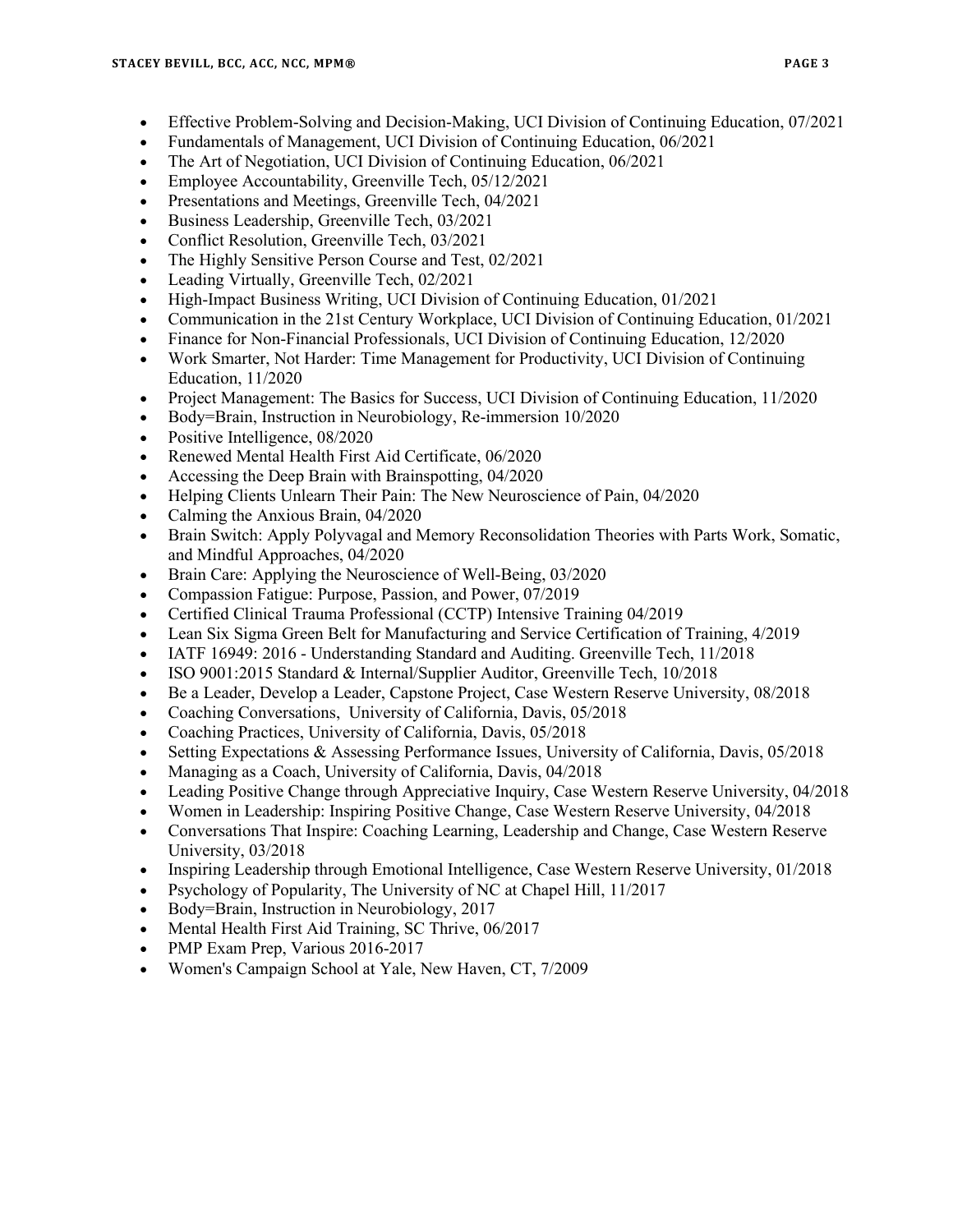- Effective Problem-Solving and Decision-Making, UCI Division of Continuing Education, 07/2021
- Fundamentals of Management, UCI Division of Continuing Education, 06/2021
- The Art of Negotiation, UCI Division of Continuing Education, 06/2021
- Employee Accountability, Greenville Tech, 05/12/2021
- Presentations and Meetings, Greenville Tech, 04/2021
- Business Leadership, Greenville Tech, 03/2021
- Conflict Resolution, Greenville Tech, 03/2021
- The Highly Sensitive Person Course and Test, 02/2021
- Leading Virtually, Greenville Tech, 02/2021
- High-Impact Business Writing, UCI Division of Continuing Education, 01/2021
- Communication in the 21st Century Workplace, UCI Division of Continuing Education, 01/2021
- Finance for Non-Financial Professionals, UCI Division of Continuing Education, 12/2020
- Work Smarter, Not Harder: Time Management for Productivity, UCI Division of Continuing Education, 11/2020
- Project Management: The Basics for Success, UCI Division of Continuing Education, 11/2020
- Body=Brain, Instruction in Neurobiology, Re-immersion 10/2020
- Positive Intelligence, 08/2020
- Renewed Mental Health First Aid Certificate, 06/2020
- Accessing the Deep Brain with Brainspotting, 04/2020
- Helping Clients Unlearn Their Pain: The New Neuroscience of Pain, 04/2020
- Calming the Anxious Brain, 04/2020
- Brain Switch: Apply Polyvagal and Memory Reconsolidation Theories with Parts Work, Somatic, and Mindful Approaches, 04/2020
- Brain Care: Applying the Neuroscience of Well-Being, 03/2020
- Compassion Fatigue: Purpose, Passion, and Power, 07/2019
- Certified Clinical Trauma Professional (CCTP) Intensive Training 04/2019
- Lean Six Sigma Green Belt for Manufacturing and Service Certification of Training, 4/2019
- IATF 16949: 2016 Understanding Standard and Auditing. Greenville Tech, 11/2018
- ISO 9001:2015 Standard & Internal/Supplier Auditor, Greenville Tech, 10/2018
- Be a Leader, Develop a Leader, Capstone Project, Case Western Reserve University, 08/2018
- Coaching Conversations, University of California, Davis, 05/2018
- Coaching Practices, University of California, Davis, 05/2018
- Setting Expectations & Assessing Performance Issues, University of California, Davis, 05/2018
- Managing as a Coach, University of California, Davis, 04/2018
- Leading Positive Change through Appreciative Inquiry, Case Western Reserve University, 04/2018
- Women in Leadership: Inspiring Positive Change, Case Western Reserve University, 04/2018
- Conversations That Inspire: Coaching Learning, Leadership and Change, Case Western Reserve University, 03/2018
- Inspiring Leadership through Emotional Intelligence, Case Western Reserve University, 01/2018
- Psychology of Popularity, The University of NC at Chapel Hill, 11/2017
- Body=Brain, Instruction in Neurobiology, 2017
- Mental Health First Aid Training, SC Thrive, 06/2017
- PMP Exam Prep, Various 2016-2017
- Women's Campaign School at Yale, New Haven, CT, 7/2009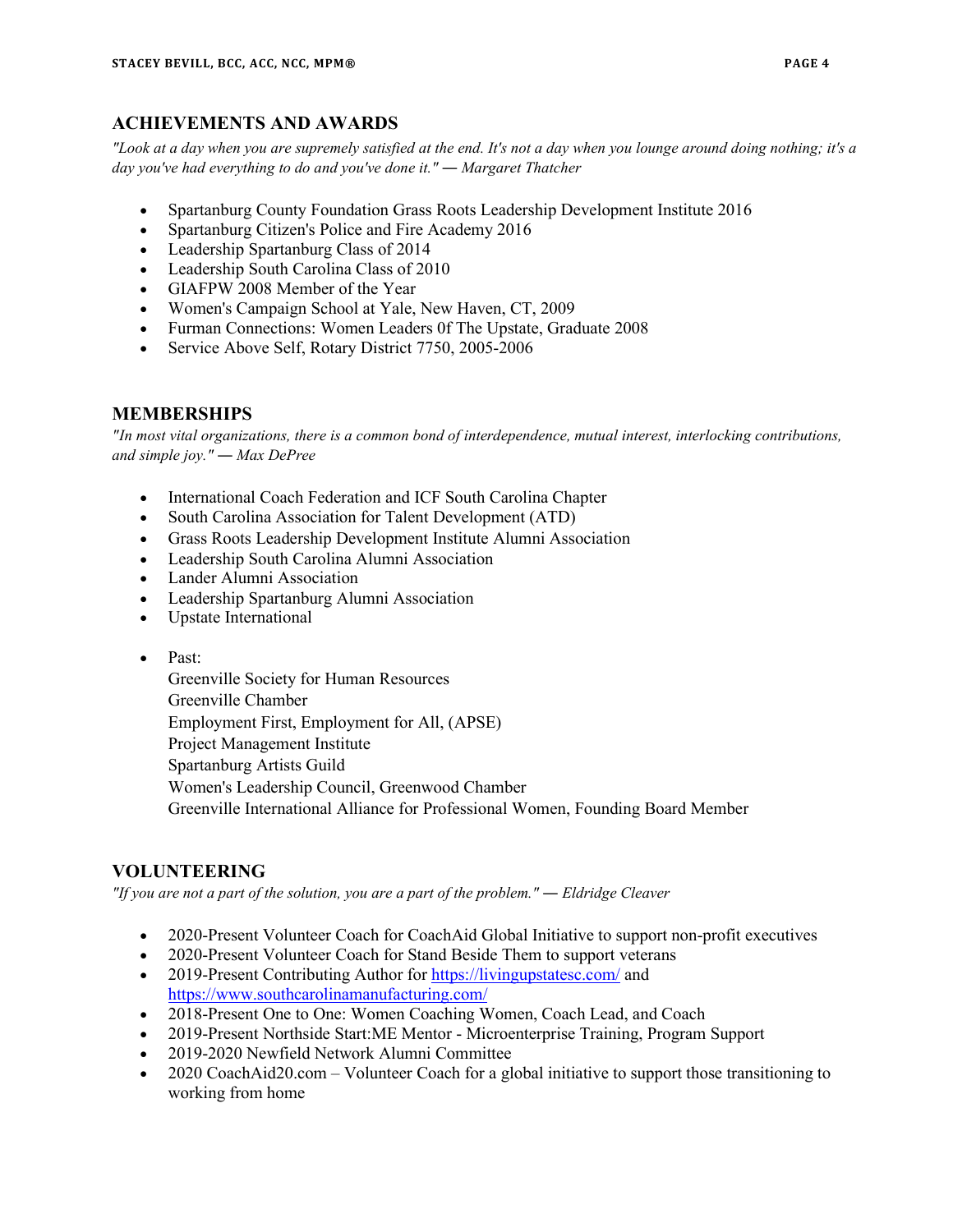# **ACHIEVEMENTS AND AWARDS**

*"Look at a day when you are supremely satisfied at the end. It's not a day when you lounge around doing nothing; it's a day you've had everything to do and you've done it." ― Margaret Thatcher*

- Spartanburg County Foundation Grass Roots Leadership Development Institute 2016
- [Spartanburg Citizen's Police and Fire Academy](http://www.cityofspartanburg.org/public-safety/police-department/citizens-academy) 2016
- Leadership Spartanburg Class of 2014
- Leadership South Carolina Class of 2010
- GIAFPW 2008 Member of the Year
- Women's Campaign School at Yale, New Haven, CT, 2009
- Furman Connections: Women Leaders 0f The Upstate, Graduate 2008
- Service Above Self, Rotary District 7750, 2005-2006

# **MEMBERSHIPS**

*"In most vital organizations, there is a common bond of interdependence, mutual interest, interlocking contributions, and simple joy." ― Max DePree*

- International Coach Federation and ICF South Carolina Chapter
- South Carolina Association for Talent Development (ATD)
- Grass Roots Leadership Development Institute Alumni Association
- Leadership South Carolina Alumni Association
- Lander Alumni Association
- Leadership Spartanburg Alumni Association
- Upstate International
- Past:

Greenville Society for Human Resources Greenville Chamber Employment First, Employment for All, (APSE) Project Management Institute Spartanburg Artists Guild Women's Leadership Council, Greenwood Chamber Greenville International Alliance for Professional Women, Founding Board Member

# **VOLUNTEERING**

*"If you are not a part of the solution, you are a part of the problem." ― Eldridge Cleaver*

- 2020-Present Volunteer Coach for CoachAid Global Initiative to support non-profit executives
- 2020-Present Volunteer Coach for Stand Beside Them to support veterans
- 2019-Present Contributing Author for<https://livingupstatesc.com/>and <https://www.southcarolinamanufacturing.com/>
- 2018-Present One to One: Women Coaching Women, Coach Lead, and Coach
- 2019-Present Northside Start:ME Mentor Microenterprise Training, Program Support
- 2019-2020 Newfield Network Alumni Committee
- 2020 CoachAid20.com Volunteer Coach for a global initiative to support those transitioning to working from home